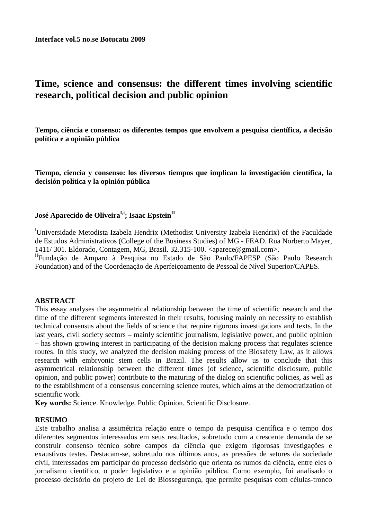# **Time, science and consensus: the different times involving scientific research, political decision and public opinion**

**Tempo, ciência e consenso: os diferentes tempos que envolvem a pesquisa científica, a decisão política e a opinião pública** 

**Tiempo, ciencia y consenso: los diversos tiempos que implican la investigación científica, la decisión política y la opinión pública** 

## **José Aparecido de OliveiraI,i; Isaac EpsteinII**

<sup>I</sup>Universidade Metodista Izabela Hendrix (Methodist University Izabela Hendrix) of the Faculdade de Estudos Administrativos (College of the Business Studies) of MG - FEAD. Rua Norberto Mayer, 1411/ 301. Eldorado, Contagem, MG, Brasil. 32.315-100. <aparece@gmail.com>.

IIFundação de Amparo à Pesquisa no Estado de São Paulo/FAPESP (São Paulo Research Foundation) and of the Coordenação de Aperfeiçoamento de Pessoal de Nível Superior/CAPES.

## **ABSTRACT**

This essay analyses the asymmetrical relationship between the time of scientific research and the time of the different segments interested in their results, focusing mainly on necessity to establish technical consensus about the fields of science that require rigorous investigations and texts. In the last years, civil society sectors – mainly scientific journalism, legislative power, and public opinion – has shown growing interest in participating of the decision making process that regulates science routes. In this study, we analyzed the decision making process of the Biosafety Law, as it allows research with embryonic stem cells in Brazil. The results allow us to conclude that this asymmetrical relationship between the different times (of science, scientific disclosure, public opinion, and public power) contribute to the maturing of the dialog on scientific policies, as well as to the establishment of a consensus concerning science routes, which aims at the democratization of scientific work.

**Key words:** Science. Knowledge. Public Opinion. Scientific Disclosure.

## **RESUMO**

Este trabalho analisa a assimétrica relação entre o tempo da pesquisa científica e o tempo dos diferentes segmentos interessados em seus resultados, sobretudo com a crescente demanda de se construir consenso técnico sobre campos da ciência que exigem rigorosas investigações e exaustivos testes. Destacam-se, sobretudo nos últimos anos, as pressões de setores da sociedade civil, interessados em participar do processo decisório que orienta os rumos da ciência, entre eles o jornalismo científico, o poder legislativo e a opinião pública. Como exemplo, foi analisado o processo decisório do projeto de Lei de Biossegurança, que permite pesquisas com células-tronco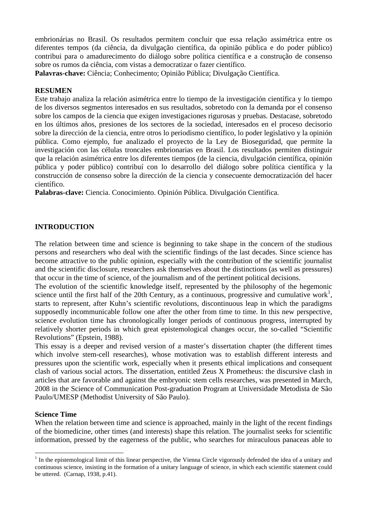embrionárias no Brasil. Os resultados permitem concluir que essa relação assimétrica entre os diferentes tempos (da ciência, da divulgação científica, da opinião pública e do poder público) contribui para o amadurecimento do diálogo sobre política científica e a construção de consenso sobre os rumos da ciência, com vistas a democratizar o fazer científico.

**Palavras-chave:** Ciência; Conhecimento; Opinião Pública; Divulgação Científica.

#### **RESUMEN**

Este trabajo analiza la relación asimétrica entre lo tiempo de la investigación científica y lo tiempo de los diversos segmentos interesados en sus resultados, sobretodo con la demanda por el consenso sobre los campos de la ciencia que exigen investigaciones rigurosas y pruebas. Destacase, sobretodo en los últimos años, presiones de los sectores de la sociedad, interesados en el proceso decisorio sobre la dirección de la ciencia, entre otros lo periodismo científico, lo poder legislativo y la opinión pública. Como ejemplo, fue analizado el proyecto de la Ley de Bioseguridad, que permite la investigación con las células troncales embrionarias en Brasil. Los resultados permiten distinguir que la relación asimétrica entre los diferentes tiempos (de la ciencia, divulgación científica, opinión pública y poder público) contribuí con lo desarrollo del diálogo sobre política científica y la construcción de consenso sobre la dirección de la ciencia y consecuente democratización del hacer científico.

**Palabras-clave:** Ciencia. Conocimiento. Opinión Pública. Divulgación Científica.

## **INTRODUCTION**

The relation between time and science is beginning to take shape in the concern of the studious persons and researchers who deal with the scientific findings of the last decades. Since science has become attractive to the public opinion, especially with the contribution of the scientific journalist and the scientific disclosure, researchers ask themselves about the distinctions (as well as pressures) that occur in the time of science, of the journalism and of the pertinent political decisions.

The evolution of the scientific knowledge itself, represented by the philosophy of the hegemonic science until the first half of the 20th Century, as a continuous, progressive and cumulative work<sup>1</sup>, starts to represent, after Kuhn's scientific revolutions, discontinuous leap in which the paradigms supposedly incommunicable follow one after the other from time to time. In this new perspective, science evolution time has chronologically longer periods of continuous progress, interrupted by relatively shorter periods in which great epistemological changes occur, the so-called "Scientific Revolutions" (Epstein, 1988).

This essay is a deeper and revised version of a master's dissertation chapter (the different times which involve stem-cell researches), whose motivation was to establish different interests and pressures upon the scientific work, especially when it presents ethical implications and consequent clash of various social actors. The dissertation, entitled Zeus X Prometheus: the discursive clash in articles that are favorable and against the embryonic stem cells researches, was presented in March, 2008 in the Science of Communication Post-graduation Program at Universidade Metodista de São Paulo/UMESP (Methodist University of São Paulo).

#### **Science Time**

 $\overline{a}$ 

When the relation between time and science is approached, mainly in the light of the recent findings of the biomedicine, other times (and interests) shape this relation. The journalist seeks for scientific information, pressed by the eagerness of the public, who searches for miraculous panaceas able to

 $<sup>1</sup>$  In the epistemological limit of this linear perspective, the Vienna Circle vigorously defended the idea of a unitary and</sup> continuous science, insisting in the formation of a unitary language of science, in which each scientific statement could be uttered. (Carnap, 1938, p.41).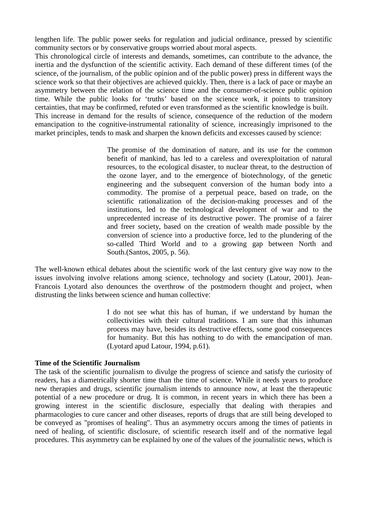lengthen life. The public power seeks for regulation and judicial ordinance, pressed by scientific community sectors or by conservative groups worried about moral aspects.

This chronological circle of interests and demands, sometimes, can contribute to the advance, the inertia and the dysfunction of the scientific activity. Each demand of these different times (of the science, of the journalism, of the public opinion and of the public power) press in different ways the science work so that their objectives are achieved quickly. Then, there is a lack of pace or maybe an asymmetry between the relation of the science time and the consumer-of-science public opinion time. While the public looks for 'truths' based on the science work, it points to transitory certainties, that may be confirmed, refuted or even transformed as the scientific knowledge is built. This increase in demand for the results of science, consequence of the reduction of the modern emancipation to the cognitive-instrumental rationality of science, increasingly imprisoned to the market principles, tends to mask and sharpen the known deficits and excesses caused by science:

> The promise of the domination of nature, and its use for the common benefit of mankind, has led to a careless and overexploitation of natural resources, to the ecological disaster, to nuclear threat, to the destruction of the ozone layer, and to the emergence of biotechnology, of the genetic engineering and the subsequent conversion of the human body into a commodity. The promise of a perpetual peace, based on trade, on the scientific rationalization of the decision-making processes and of the institutions, led to the technological development of war and to the unprecedented increase of its destructive power. The promise of a fairer and freer society, based on the creation of wealth made possible by the conversion of science into a productive force, led to the plundering of the so-called Third World and to a growing gap between North and South.(Santos, 2005, p. 56).

The well-known ethical debates about the scientific work of the last century give way now to the issues involving involve relations among science, technology and society (Latour, 2001). Jean-Francois Lyotard also denounces the overthrow of the postmodern thought and project, when distrusting the links between science and human collective:

> I do not see what this has of human, if we understand by human the collectivities with their cultural traditions. I am sure that this inhuman process may have, besides its destructive effects, some good consequences for humanity. But this has nothing to do with the emancipation of man. (Lyotard apud Latour, 1994, p.61).

#### **Time of the Scientific Journalism**

The task of the scientific journalism to divulge the progress of science and satisfy the curiosity of readers, has a diametrically shorter time than the time of science. While it needs years to produce new therapies and drugs, scientific journalism intends to announce now, at least the therapeutic potential of a new procedure or drug. It is common, in recent years in which there has been a growing interest in the scientific disclosure, especially that dealing with therapies and pharmacologies to cure cancer and other diseases, reports of drugs that are still being developed to be conveyed as "promises of healing". Thus an asymmetry occurs among the times of patients in need of healing, of scientific disclosure, of scientific research itself and of the normative legal procedures. This asymmetry can be explained by one of the values of the journalistic news, which is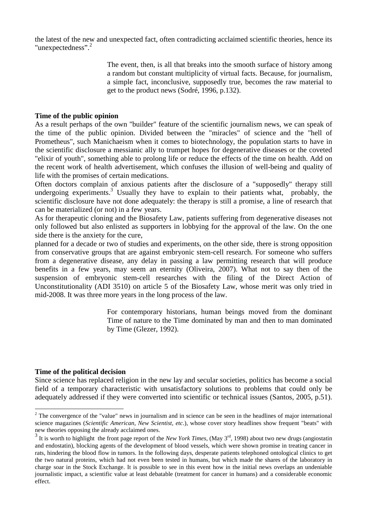the latest of the new and unexpected fact, often contradicting acclaimed scientific theories, hence its "unexpectedness".<sup>2</sup>

> The event, then, is all that breaks into the smooth surface of history among a random but constant multiplicity of virtual facts. Because, for journalism, a simple fact, inconclusive, supposedly true, becomes the raw material to get to the product news (Sodré, 1996, p.132).

## **Time of the public opinion**

As a result perhaps of the own "builder" feature of the scientific journalism news, we can speak of the time of the public opinion. Divided between the "miracles" of science and the "hell of Prometheus", such Manichaeism when it comes to biotechnology, the population starts to have in the scientific disclosure a messianic ally to trumpet hopes for degenerative diseases or the coveted "elixir of youth", something able to prolong life or reduce the effects of the time on health. Add on the recent work of health advertisement, which confuses the illusion of well-being and quality of life with the promises of certain medications.

Often doctors complain of anxious patients after the disclosure of a "supposedly" therapy still undergoing experiments.<sup>3</sup> Usually they have to explain to their patients what, probably, the scientific disclosure have not done adequately: the therapy is still a promise, a line of research that can be materialized (or not) in a few years.

As for therapeutic cloning and the Biosafety Law, patients suffering from degenerative diseases not only followed but also enlisted as supporters in lobbying for the approval of the law. On the one side there is the anxiety for the cure,

planned for a decade or two of studies and experiments, on the other side, there is strong opposition from conservative groups that are against embryonic stem-cell research. For someone who suffers from a degenerative disease, any delay in passing a law permitting research that will produce benefits in a few years, may seem an eternity (Oliveira, 2007). What not to say then of the suspension of embryonic stem-cell researches with the filing of the Direct Action of Unconstitutionality (ADI 3510) on article 5 of the Biosafety Law, whose merit was only tried in mid-2008. It was three more years in the long process of the law.

> For contemporary historians, human beings moved from the dominant Time of nature to the Time dominated by man and then to man dominated by Time (Glezer, 1992).

## **Time of the political decision**

 $\overline{a}$ 

Since science has replaced religion in the new lay and secular societies, politics has become a social field of a temporary characteristic with unsatisfactory solutions to problems that could only be adequately addressed if they were converted into scientific or technical issues (Santos, 2005, p.51).

 $2^{2}$  The convergence of the "value" news in journalism and in science can be seen in the headlines of major international science magazines (*Scientific American, New Scientist, etc*.), whose cover story headlines show frequent "beats" with new theories opposing the already acclaimed ones.

 $3$  It is worth to highlight the front page report of the *New York Times*, (May  $3<sup>rd</sup>$ , 1998) about two new drugs (angiostatin and endostatin), blocking agents of the development of blood vessels, which were shown promise in treating cancer in rats, hindering the blood flow in tumors. In the following days, desperate patients telephoned ontological clinics to get the two natural proteins, which had not even been tested in humans, but which made the shares of the laboratory in charge soar in the Stock Exchange. It is possible to see in this event how in the initial news overlaps an undeniable journalistic impact, a scientific value at least debatable (treatment for cancer in humans) and a considerable economic effect.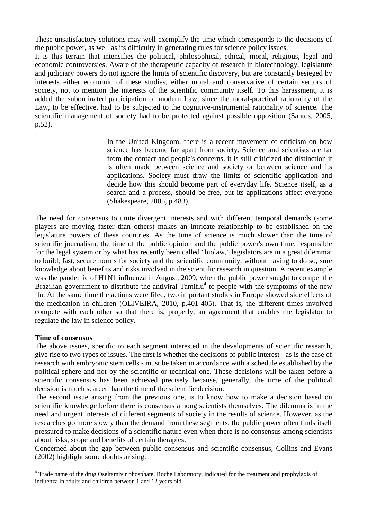These unsatisfactory solutions may well exemplify the time which corresponds to the decisions of the public power, as well as its difficulty in generating rules for science policy issues.

It is this terrain that intensifies the political, philosophical, ethical, moral, religious, legal and economic controversies. Aware of the therapeutic capacity of research in biotechnology, legislature and judiciary powers do not ignore the limits of scientific discovery, but are constantly besieged by interests either economic of these studies, either moral and conservative of certain sectors of society, not to mention the interests of the scientific community itself. To this harassment, it is added the subordinated participation of modern Law, since the moral-practical rationality of the Law, to be effective, had to be subjected to the cognitive-instrumental rationality of science. The scientific management of society had to be protected against possible opposition (Santos, 2005, p.52).

> In the United Kingdom, there is a recent movement of criticism on how science has become far apart from society. Science and scientists are far from the contact and people's concerns. it is still criticized the distinction it is often made between science and society or between science and its applications. Society must draw the limits of scientific application and decide how this should become part of everyday life. Science itself, as a search and a process, should be free, but its applications affect everyone (Shakespeare, 2005, p.483).

The need for consensus to unite divergent interests and with different temporal demands (some players are moving faster than others) makes an intricate relationship to be established on the legislature powers of these countries. As the time of science is much slower than the time of scientific journalism, the time of the public opinion and the public power's own time, responsible for the legal system or by what has recently been called "biolaw," legislators are in a great dilemma: to build, fast, secure norms for society and the scientific community, without having to do so, sure knowledge about benefits and risks involved in the scientific research in question. A recent example was the pandemic of H1N1 influenza in August, 2009, when the public power sought to compel the Brazilian government to distribute the antiviral Tamiflu<sup>4</sup> to people with the symptoms of the new flu. At the same time the actions were filed, two important studies in Europe showed side effects of the medication in children (OLIVEIRA, 2010, p.401-405). That is, the different times involved compete with each other so that there is, properly, an agreement that enables the legislator to regulate the law in science policy.

## **Time of consensus**

 $\overline{a}$ 

.

The above issues, specific to each segment interested in the developments of scientific research, give rise to two types of issues. The first is whether the decisions of public interest - as is the case of research with embryonic stem cells - must be taken in accordance with a schedule established by the political sphere and not by the scientific or technical one. These decisions will be taken before a scientific consensus has been achieved precisely because, generally, the time of the political decision is much scarcer than the time of the scientific decision.

The second issue arising from the previous one, is to know how to make a decision based on scientific knowledge before there is consensus among scientists themselves. The dilemma is in the need and urgent interests of different segments of society in the results of science. However, as the researches go more slowly than the demand from these segments, the public power often finds itself pressured to make decisions of a scientific nature even when there is no consensus among scientists about risks, scope and benefits of certain therapies.

Concerned about the gap between public consensus and scientific consensus, Collins and Evans (2002) highlight some doubts arising:

<sup>&</sup>lt;sup>4</sup> Trade name of the drug Oseltamivir phosphate, Roche Laboratory, indicated for the treatment and prophylaxis of influenza in adults and children between 1 and 12 years old.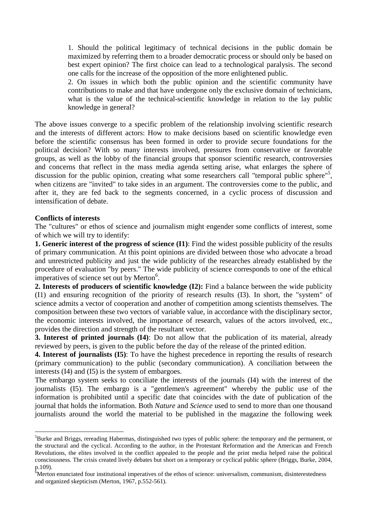1. Should the political legitimacy of technical decisions in the public domain be maximized by referring them to a broader democratic process or should only be based on best expert opinion? The first choice can lead to a technological paralysis. The second one calls for the increase of the opposition of the more enlightened public.

2. On issues in which both the public opinion and the scientific community have contributions to make and that have undergone only the exclusive domain of technicians, what is the value of the technical-scientific knowledge in relation to the lay public knowledge in general?

The above issues converge to a specific problem of the relationship involving scientific research and the interests of different actors: How to make decisions based on scientific knowledge even before the scientific consensus has been formed in order to provide secure foundations for the political decision? With so many interests involved, pressures from conservative or favorable groups, as well as the lobby of the financial groups that sponsor scientific research, controversies and concerns that reflect in the mass media agenda setting arise, what enlarges the sphere of discussion for the public opinion, creating what some researchers call "temporal public sphere"<sup>5</sup>, when citizens are "invited" to take sides in an argument. The controversies come to the public, and after it, they are fed back to the segments concerned, in a cyclic process of discussion and intensification of debate.

## **Conflicts of interests**

 $\overline{a}$ 

The "cultures" or ethos of science and journalism might engender some conflicts of interest, some of which we will try to identify:

**1. Generic interest of the progress of science (I1)**: Find the widest possible publicity of the results of primary communication. At this point opinions are divided between those who advocate a broad and unrestricted publicity and just the wide publicity of the researches already established by the procedure of evaluation "by peers." The wide publicity of science corresponds to one of the ethical imperatives of science set out by Merton $6$ .

**2. Interests of producers of scientific knowledge (I2):** Find a balance between the wide publicity (I1) and ensuring recognition of the priority of research results (I3). In short, the "system" of science admits a vector of cooperation and another of competition among scientists themselves. The composition between these two vectors of variable value, in accordance with the disciplinary sector, the economic interests involved, the importance of research, values of the actors involved, etc., provides the direction and strength of the resultant vector.

**3. Interest of printed journals (I4)**: Do not allow that the publication of its material, already reviewed by peers, is given to the public before the day of the release of the printed edition.

**4. Interest of journalists (I5)**: To have the highest precedence in reporting the results of research (primary communication) to the public (secondary communication). A conciliation between the interests (I4) and (I5) is the system of embargoes.

The embargo system seeks to conciliate the interests of the journals (I4) with the interest of the journalists (I5). The embargo is a "gentlemen's agreement" whereby the public use of the information is prohibited until a specific date that coincides with the date of publication of the journal that holds the information. Both *Nature* and *Science* used to send to more than one thousand journalists around the world the material to be published in the magazine the following week

<sup>&</sup>lt;sup>5</sup>Burke and Briggs, rereading Habermas, distinguished two types of public sphere: the temporary and the permanent, or the structural and the cyclical. According to the author, in the Protestant Reformation and the American and French Revolutions, the elites involved in the conflict appealed to the people and the print media helped raise the political consciousness. The crisis created lively debates but short on a temporary or cyclical public sphere (Briggs, Burke, 2004, p.109).

<sup>&</sup>lt;sup>6</sup>Merton enunciated four institutional imperatives of the ethos of science: universalism, communism, disinterestedness and organized skepticism (Merton, 1967, p.552-561).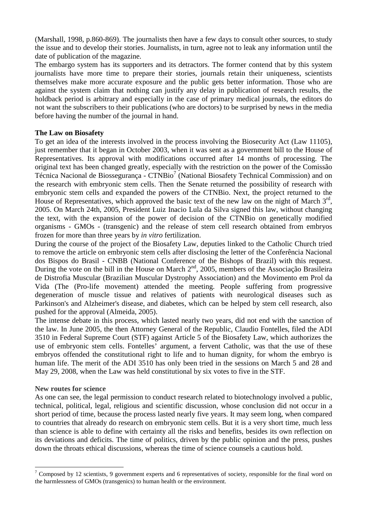(Marshall, 1998, p.860-869). The journalists then have a few days to consult other sources, to study the issue and to develop their stories. Journalists, in turn, agree not to leak any information until the date of publication of the magazine.

The embargo system has its supporters and its detractors. The former contend that by this system journalists have more time to prepare their stories, journals retain their uniqueness, scientists themselves make more accurate exposure and the public gets better information. Those who are against the system claim that nothing can justify any delay in publication of research results, the holdback period is arbitrary and especially in the case of primary medical journals, the editors do not want the subscribers to their publications (who are doctors) to be surprised by news in the media before having the number of the journal in hand.

## **The Law on Biosafety**

To get an idea of the interests involved in the process involving the Biosecurity Act (Law 11105), just remember that it began in October 2003, when it was sent as a government bill to the House of Representatives. Its approval with modifications occurred after 14 months of processing. The original text has been changed greatly, especially with the restriction on the power of the Comissão Técnica Nacional de Biossegurança - CTNBio<sup>7</sup> (National Biosafety Technical Commission) and on the research with embryonic stem cells. Then the Senate returned the possibility of research with embryonic stem cells and expanded the powers of the CTNBio. Next, the project returned to the House of Representatives, which approved the basic text of the new law on the night of March 3<sup>rd</sup>, 2005. On March 24th, 2005, President Luiz Inacio Lula da Silva signed this law, without changing the text, with the expansion of the power of decision of the CTNBio on genetically modified organisms - GMOs - (transgenic) and the release of stem cell research obtained from embryos frozen for more than three years by *in vitro* fertilization.

During the course of the project of the Biosafety Law, deputies linked to the Catholic Church tried to remove the article on embryonic stem cells after disclosing the letter of the Conferência Nacional dos Bispos do Brasil - CNBB (National Conference of the Bishops of Brazil) with this request. During the vote on the bill in the House on March 2<sup>nd</sup>, 2005, members of the Associação Brasileira de Distrofia Muscular (Brazilian Muscular Dystrophy Association) and the Movimento em Prol da Vida (The (Pro-life movement) attended the meeting. People suffering from progressive degeneration of muscle tissue and relatives of patients with neurological diseases such as Parkinson's and Alzheimer's disease, and diabetes, which can be helped by stem cell research, also pushed for the approval (Almeida, 2005).

The intense debate in this process, which lasted nearly two years, did not end with the sanction of the law. In June 2005, the then Attorney General of the Republic, Claudio Fontelles, filed the ADI 3510 in Federal Supreme Court (STF) against Article 5 of the Biosafety Law, which authorizes the use of embryonic stem cells. Fontelles' argument, a fervent Catholic, was that the use of these embryos offended the constitutional right to life and to human dignity, for whom the embryo is human life. The merit of the ADI 3510 has only been tried in the sessions on March 5 and 28 and May 29, 2008, when the Law was held constitutional by six votes to five in the STF.

## **New routes for science**

 $\overline{a}$ 

As one can see, the legal permission to conduct research related to biotechnology involved a public, technical, political, legal, religious and scientific discussion, whose conclusion did not occur in a short period of time, because the process lasted nearly five years. It may seem long, when compared to countries that already do research on embryonic stem cells. But it is a very short time, much less than science is able to define with certainty all the risks and benefits, besides its own reflection on its deviations and deficits. The time of politics, driven by the public opinion and the press, pushes down the throats ethical discussions, whereas the time of science counsels a cautious hold.

 $7$  Composed by 12 scientists, 9 government experts and 6 representatives of society, responsible for the final word on the harmlessness of GMOs (transgenics) to human health or the environment.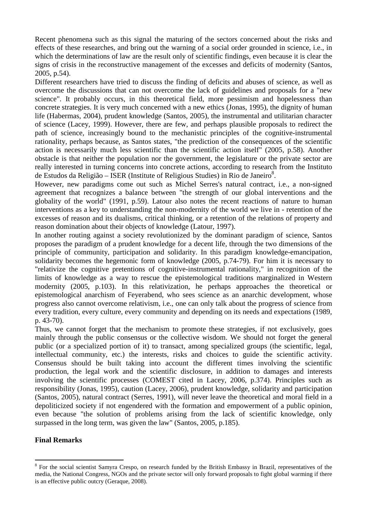Recent phenomena such as this signal the maturing of the sectors concerned about the risks and effects of these researches, and bring out the warning of a social order grounded in science, i.e., in which the determinations of law are the result only of scientific findings, even because it is clear the signs of crisis in the reconstructive management of the excesses and deficits of modernity (Santos, 2005, p.54).

Different researchers have tried to discuss the finding of deficits and abuses of science, as well as overcome the discussions that can not overcome the lack of guidelines and proposals for a "new science". It probably occurs, in this theoretical field, more pessimism and hopelessness than concrete strategies. It is very much concerned with a new ethics (Jonas, 1995), the dignity of human life (Habermas, 2004), prudent knowledge (Santos, 2005), the instrumental and utilitarian character of science (Lacey, 1999). However, there are few, and perhaps plausible proposals to redirect the path of science, increasingly bound to the mechanistic principles of the cognitive-instrumental rationality, perhaps because, as Santos states, "the prediction of the consequences of the scientific action is necessarily much less scientific than the scientific action itself" (2005, p.58). Another obstacle is that neither the population nor the government, the legislature or the private sector are really interested in turning concerns into concrete actions, according to research from the Instituto de Estudos da Religião – ISER (Institute of Religious Studies) in Rio de Janeiro<sup>8</sup>.

However, new paradigms come out such as Michel Serres's natural contract, i.e., a non-signed agreement that recognizes a balance between "the strength of our global interventions and the globality of the world" (1991, p.59). Latour also notes the recent reactions of nature to human interventions as a key to understanding the non-modernity of the world we live in - retention of the excesses of reason and its dualisms, critical thinking, or a retention of the relations of property and reason domination about their objects of knowledge (Latour, 1997).

In another routing against a society revolutionized by the dominant paradigm of science, Santos proposes the paradigm of a prudent knowledge for a decent life, through the two dimensions of the principle of community, participation and solidarity. In this paradigm knowledge-emancipation, solidarity becomes the hegemonic form of knowledge (2005, p.74-79). For him it is necessary to "relativize the cognitive pretentions of cognitive-instrumental rationality," in recognition of the limits of knowledge as a way to rescue the epistemological traditions marginalized in Western modernity (2005, p.103). In this relativization, he perhaps approaches the theoretical or epistemological anarchism of Feyerabend, who sees science as an anarchic development, whose progress also cannot overcome relativism, i.e., one can only talk about the progress of science from every tradition, every culture, every community and depending on its needs and expectations (1989, p. 43-70).

Thus, we cannot forget that the mechanism to promote these strategies, if not exclusively, goes mainly through the public consensus or the collective wisdom. We should not forget the general public (or a specialized portion of it) to transact, among specialized groups (the scientific, legal, intellectual community, etc.) the interests, risks and choices to guide the scientific activity. Consensus should be built taking into account the different times involving the scientific production, the legal work and the scientific disclosure, in addition to damages and interests involving the scientific processes (COMEST cited in Lacey, 2006, p.374). Principles such as responsibility (Jonas, 1995), caution (Lacey, 2006), prudent knowledge, solidarity and participation (Santos, 2005), natural contract (Serres, 1991), will never leave the theoretical and moral field in a depoliticized society if not engendered with the formation and empowerment of a public opinion, even because "the solution of problems arising from the lack of scientific knowledge, only surpassed in the long term, was given the law" (Santos, 2005, p.185).

## **Final Remarks**

 $\overline{a}$ 

 $8$  For the social scientist Samyra Crespo, on research funded by the British Embassy in Brazil, representatives of the media, the National Congress, NGOs and the private sector will only forward proposals to fight global warming if there is an effective public outcry (Geraque, 2008).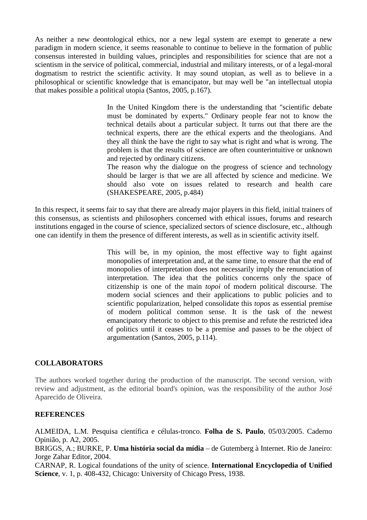As neither a new deontological ethics, nor a new legal system are exempt to generate a new paradigm in modern science, it seems reasonable to continue to believe in the formation of public consensus interested in building values, principles and responsibilities for science that are not a scientism in the service of political, commercial, industrial and military interests, or of a legal-moral dogmatism to restrict the scientific activity. It may sound utopian, as well as to believe in a philosophical or scientific knowledge that is emancipator, but may well be "an intellectual utopia that makes possible a political utopia (Santos, 2005, p.167).

> In the United Kingdom there is the understanding that "scientific debate must be dominated by experts." Ordinary people fear not to know the technical details about a particular subject. It turns out that there are the technical experts, there are the ethical experts and the theologians. And they all think the have the right to say what is right and what is wrong. The problem is that the results of science are often counterintuitive or unknown and rejected by ordinary citizens.

> The reason why the dialogue on the progress of science and technology should be larger is that we are all affected by science and medicine. We should also vote on issues related to research and health care (SHAKESPEARE, 2005, p.484)

In this respect, it seems fair to say that there are already major players in this field, initial trainers of this consensus, as scientists and philosophers concerned with ethical issues, forums and research institutions engaged in the course of science, specialized sectors of science disclosure, etc., although one can identify in them the presence of different interests, as well as in scientific activity itself.

> This will be, in my opinion, the most effective way to fight against monopolies of interpretation and, at the same time, to ensure that the end of monopolies of interpretation does not necessarily imply the renunciation of interpretation. The idea that the politics concerns only the space of citizenship is one of the main *topoi* of modern political discourse. The modern social sciences and their applications to public policies and to scientific popularization, helped consolidate this *topos* as essential premise of modern political common sense. It is the task of the newest emancipatory rhetoric to object to this premise and refute the restricted idea of politics until it ceases to be a premise and passes to be the object of argumentation (Santos, 2005, p.114).

## **COLLABORATORS**

The authors worked together during the production of the manuscript. The second version, with review and adjustment, as the editorial board's opinion, was the responsibility of the author José Aparecido de Oliveira.

## **REFERENCES**

ALMEIDA, L.M. Pesquisa científica e células-tronco. **Folha de S. Paulo**, 05/03/2005. Caderno Opinião, p. A2, 2005.

BRIGGS, A.; BURKE, P. **Uma história social da mídia** – de Gutemberg à Internet. Rio de Janeiro: Jorge Zahar Editor, 2004.

CARNAP, R. Logical foundations of the unity of science. **International Encyclopedia of Unified Science***,* v. 1, p. 408-432, Chicago: University of Chicago Press, 1938.